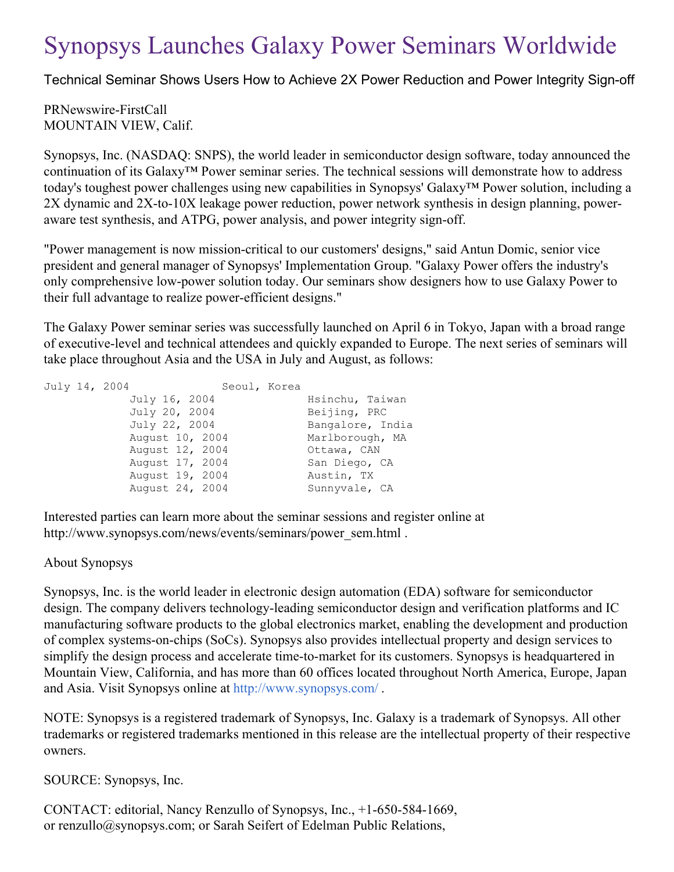## Synopsys Launches Galaxy Power Seminars Worldwide

Technical Seminar Shows Users How to Achieve 2X Power Reduction and Power Integrity Sign-off

PRNewswire-FirstCall MOUNTAIN VIEW, Calif.

Synopsys, Inc. (NASDAQ: SNPS), the world leader in semiconductor design software, today announced the continuation of its Galaxy™ Power seminar series. The technical sessions will demonstrate how to address today's toughest power challenges using new capabilities in Synopsys' Galaxy™ Power solution, including a 2X dynamic and 2X-to-10X leakage power reduction, power network synthesis in design planning, poweraware test synthesis, and ATPG, power analysis, and power integrity sign-off.

"Power management is now mission-critical to our customers' designs," said Antun Domic, senior vice president and general manager of Synopsys' Implementation Group. "Galaxy Power offers the industry's only comprehensive low-power solution today. Our seminars show designers how to use Galaxy Power to their full advantage to realize power-efficient designs."

The Galaxy Power seminar series was successfully launched on April 6 in Tokyo, Japan with a broad range of executive-level and technical attendees and quickly expanded to Europe. The next series of seminars will take place throughout Asia and the USA in July and August, as follows:

| July 14, 2004 |                 | Seoul, Korea |                  |  |
|---------------|-----------------|--------------|------------------|--|
|               | July 16, 2004   |              | Hsinchu, Taiwan  |  |
|               | July 20, 2004   |              | Beijing, PRC     |  |
|               | July 22, 2004   |              | Bangalore, India |  |
|               | August 10, 2004 |              | Marlborough, MA  |  |
|               | August 12, 2004 |              | Ottawa, CAN      |  |
|               | August 17, 2004 |              | San Diego, CA    |  |
|               | August 19, 2004 |              | Austin, TX       |  |
|               | August 24, 2004 |              | Sunnyvale, CA    |  |
|               |                 |              |                  |  |

Interested parties can learn more about the seminar sessions and register online at http://www.synopsys.com/news/events/seminars/power\_sem.html .

## About Synopsys

Synopsys, Inc. is the world leader in electronic design automation (EDA) software for semiconductor design. The company delivers technology-leading semiconductor design and verification platforms and IC manufacturing software products to the global electronics market, enabling the development and production of complex systems-on-chips (SoCs). Synopsys also provides intellectual property and design services to simplify the design process and accelerate time-to-market for its customers. Synopsys is headquartered in Mountain View, California, and has more than 60 offices located throughout North America, Europe, Japan and Asia. Visit Synopsys online at <http://www.synopsys.com/> .

NOTE: Synopsys is a registered trademark of Synopsys, Inc. Galaxy is a trademark of Synopsys. All other trademarks or registered trademarks mentioned in this release are the intellectual property of their respective owners.

SOURCE: Synopsys, Inc.

CONTACT: editorial, Nancy Renzullo of Synopsys, Inc., +1-650-584-1669, or renzullo@synopsys.com; or Sarah Seifert of Edelman Public Relations,